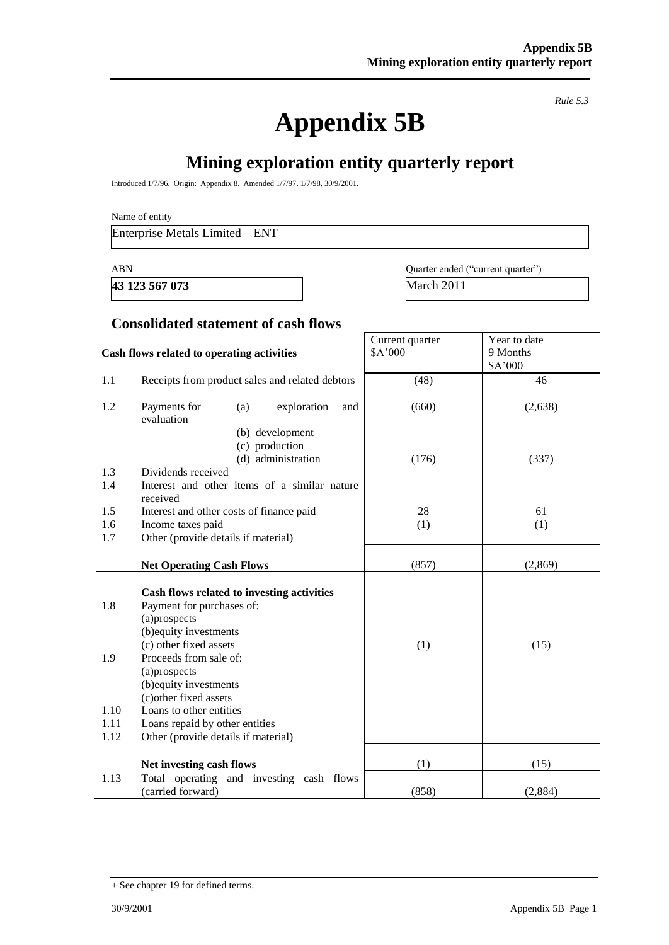**Appendix 5B**

*Rule 5.3*

## **Mining exploration entity quarterly report**

Introduced 1/7/96. Origin: Appendix 8. Amended 1/7/97, 1/7/98, 30/9/2001.

Name of entity

Enterprise Metals Limited – ENT

**43 123 567 073** March 2011

ABN Quarter ended ("current quarter")

### **Consolidated statement of cash flows**

|                            | Cash flows related to operating activities                                                                                                                                                                                                                                                             | Current quarter<br>\$A'000 | Year to date<br>9 Months<br>\$A'000 |
|----------------------------|--------------------------------------------------------------------------------------------------------------------------------------------------------------------------------------------------------------------------------------------------------------------------------------------------------|----------------------------|-------------------------------------|
| 1.1                        | Receipts from product sales and related debtors                                                                                                                                                                                                                                                        | (48)                       | 46                                  |
| 1.2                        | Payments for<br>exploration<br>(a)<br>and<br>evaluation                                                                                                                                                                                                                                                | (660)                      | (2,638)                             |
|                            | (b) development<br>(c) production<br>(d) administration                                                                                                                                                                                                                                                | (176)                      | (337)                               |
| 1.3                        | Dividends received                                                                                                                                                                                                                                                                                     |                            |                                     |
| 1.4                        | Interest and other items of a similar nature<br>received                                                                                                                                                                                                                                               |                            |                                     |
| 1.5                        | Interest and other costs of finance paid                                                                                                                                                                                                                                                               | 28                         | 61                                  |
| 1.6                        | Income taxes paid                                                                                                                                                                                                                                                                                      | (1)                        | (1)                                 |
| 1.7                        | Other (provide details if material)                                                                                                                                                                                                                                                                    |                            |                                     |
|                            | <b>Net Operating Cash Flows</b>                                                                                                                                                                                                                                                                        | (857)                      | (2,869)                             |
| 1.8<br>1.9<br>1.10<br>1.11 | Cash flows related to investing activities<br>Payment for purchases of:<br>(a)prospects<br>(b) equity investments<br>(c) other fixed assets<br>Proceeds from sale of:<br>(a)prospects<br>(b) equity investments<br>(c) other fixed assets<br>Loans to other entities<br>Loans repaid by other entities | (1)                        | (15)                                |
| 1.12                       | Other (provide details if material)                                                                                                                                                                                                                                                                    |                            |                                     |
|                            |                                                                                                                                                                                                                                                                                                        |                            |                                     |
|                            | Net investing cash flows                                                                                                                                                                                                                                                                               | (1)                        | (15)                                |
| 1.13                       | Total operating and investing cash flows<br>(carried forward)                                                                                                                                                                                                                                          | (858)                      | (2,884)                             |

<sup>+</sup> See chapter 19 for defined terms.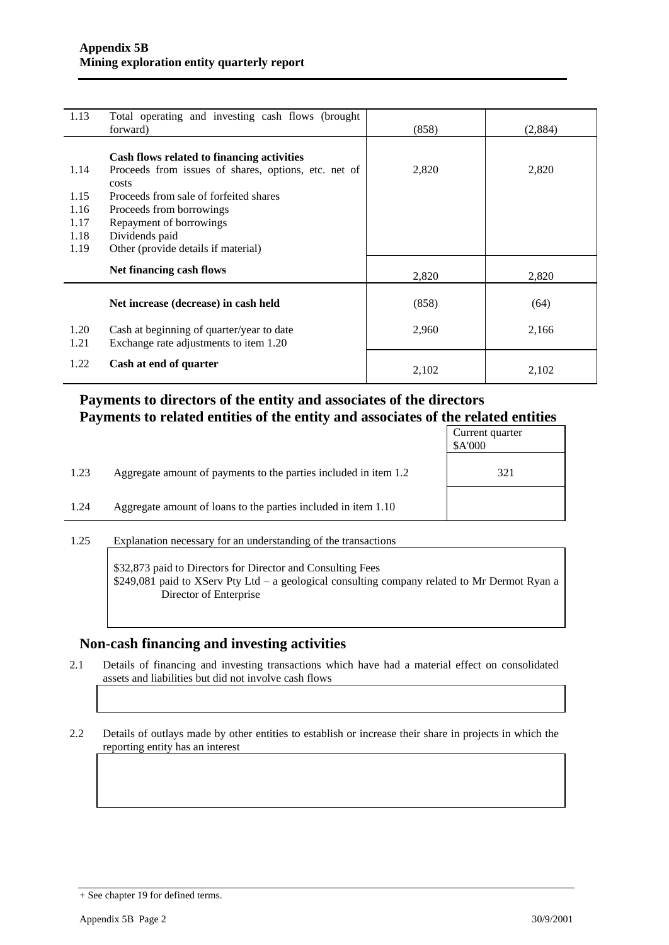| 1.13 | Total operating and investing cash flows (brought    |       |         |
|------|------------------------------------------------------|-------|---------|
|      | forward)                                             | (858) | (2,884) |
|      |                                                      |       |         |
|      | Cash flows related to financing activities           |       |         |
| 1.14 | Proceeds from issues of shares, options, etc. net of | 2,820 | 2,820   |
|      | costs                                                |       |         |
| 1.15 | Proceeds from sale of forfeited shares               |       |         |
| 1.16 | Proceeds from borrowings                             |       |         |
| 1.17 | Repayment of borrowings                              |       |         |
| 1.18 | Dividends paid                                       |       |         |
| 1.19 | Other (provide details if material)                  |       |         |
|      | Net financing cash flows                             |       |         |
|      |                                                      | 2,820 | 2,820   |
|      |                                                      |       |         |
|      | Net increase (decrease) in cash held                 | (858) | (64)    |
|      |                                                      |       |         |
| 1.20 | Cash at beginning of quarter/year to date            | 2,960 | 2,166   |
| 1.21 | Exchange rate adjustments to item 1.20               |       |         |
| 1.22 | Cash at end of quarter                               |       |         |
|      |                                                      | 2,102 | 2,102   |

### **Payments to directors of the entity and associates of the directors Payments to related entities of the entity and associates of the related entities**

|      |                                                                  | Current quarter<br>\$A'000 |
|------|------------------------------------------------------------------|----------------------------|
| 1.23 | Aggregate amount of payments to the parties included in item 1.2 | 321                        |
| 1.24 | Aggregate amount of loans to the parties included in item 1.10   |                            |
|      |                                                                  |                            |

1.25 Explanation necessary for an understanding of the transactions

\$32,873 paid to Directors for Director and Consulting Fees \$249,081 paid to XServ Pty Ltd – a geological consulting company related to Mr Dermot Ryan a Director of Enterprise

#### **Non-cash financing and investing activities**

2.1 Details of financing and investing transactions which have had a material effect on consolidated assets and liabilities but did not involve cash flows

2.2 Details of outlays made by other entities to establish or increase their share in projects in which the reporting entity has an interest

<sup>+</sup> See chapter 19 for defined terms.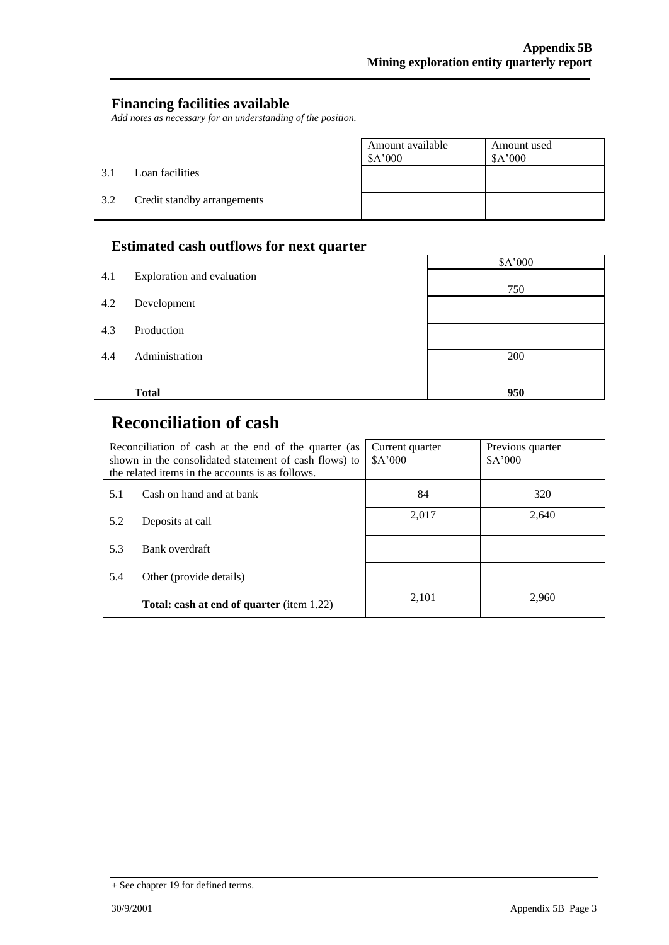$\overline{\phantom{0}}$ 

### **Financing facilities available**

*Add notes as necessary for an understanding of the position.*

|     |                             | Amount available<br>\$A'000 | Amount used<br>\$A'000 |
|-----|-----------------------------|-----------------------------|------------------------|
| 3.1 | Loan facilities             |                             |                        |
| 3.2 | Credit standby arrangements |                             |                        |

### **Estimated cash outflows for next quarter**

|     | -                          | \$A'000 |
|-----|----------------------------|---------|
| 4.1 | Exploration and evaluation |         |
|     |                            | 750     |
| 4.2 | Development                |         |
| 4.3 | Production                 |         |
|     |                            |         |
| 4.4 | Administration             | 200     |
|     |                            |         |
|     | <b>Total</b>               | 950     |

 $\mathbf{r}$ 

# **Reconciliation of cash**

|     | Reconciliation of cash at the end of the quarter (as<br>shown in the consolidated statement of cash flows) to<br>the related items in the accounts is as follows. | Current quarter<br>A'000 | Previous quarter<br>\$A'000 |
|-----|-------------------------------------------------------------------------------------------------------------------------------------------------------------------|--------------------------|-----------------------------|
| 5.1 | Cash on hand and at bank                                                                                                                                          | 84                       | 320                         |
| 5.2 | Deposits at call                                                                                                                                                  | 2,017                    | 2,640                       |
| 5.3 | Bank overdraft                                                                                                                                                    |                          |                             |
| 5.4 | Other (provide details)                                                                                                                                           |                          |                             |
|     | <b>Total: cash at end of quarter</b> (item 1.22)                                                                                                                  | 2,101                    | 2.960                       |

<sup>+</sup> See chapter 19 for defined terms.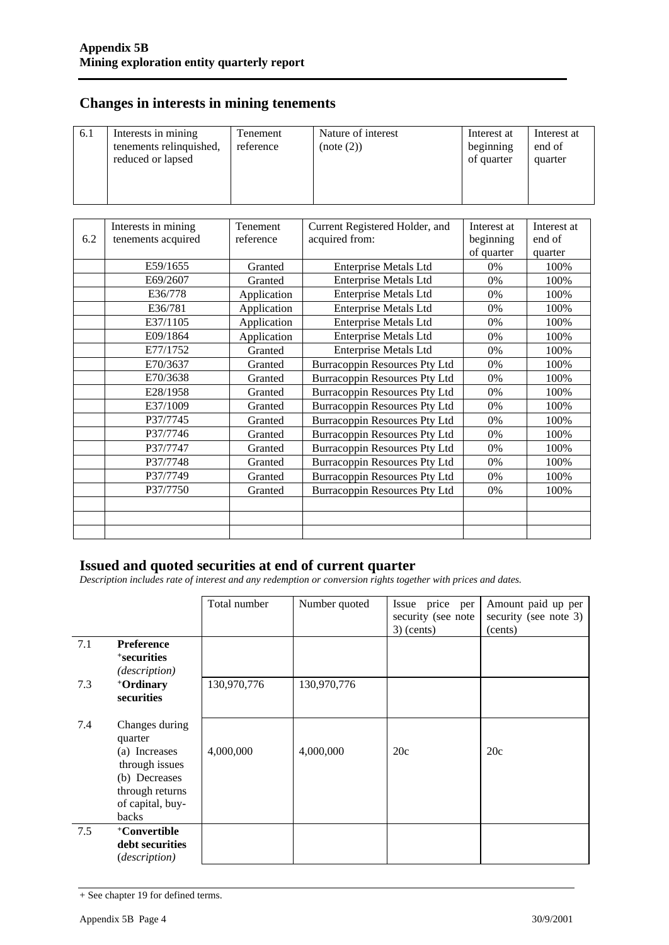### **Changes in interests in mining tenements**

| of quarter<br>quarter | 6.1 | Interests in mining<br>tenements relinquished,<br>reduced or lapsed | Tenement<br>reference | Nature of interest<br>(note (2)) | Interest at<br>beginning | Interest at<br>end of |
|-----------------------|-----|---------------------------------------------------------------------|-----------------------|----------------------------------|--------------------------|-----------------------|
|-----------------------|-----|---------------------------------------------------------------------|-----------------------|----------------------------------|--------------------------|-----------------------|

|     | Interests in mining | Tenement    | Current Registered Holder, and       | Interest at | Interest at |
|-----|---------------------|-------------|--------------------------------------|-------------|-------------|
| 6.2 | tenements acquired  | reference   | acquired from:                       | beginning   | end of      |
|     |                     |             |                                      | of quarter  | quarter     |
|     | E59/1655            | Granted     | <b>Enterprise Metals Ltd</b>         | $0\%$       | 100%        |
|     | E69/2607            | Granted     | Enterprise Metals Ltd                | 0%          | 100%        |
|     | E36/778             | Application | <b>Enterprise Metals Ltd</b>         | 0%          | 100%        |
|     | E36/781             | Application | <b>Enterprise Metals Ltd</b>         | 0%          | 100%        |
|     | E37/1105            | Application | <b>Enterprise Metals Ltd</b>         | 0%          | 100%        |
|     | E09/1864            | Application | <b>Enterprise Metals Ltd</b>         | 0%          | 100%        |
|     | E77/1752            | Granted     | Enterprise Metals Ltd                | 0%          | 100%        |
|     | E70/3637            | Granted     | Burracoppin Resources Pty Ltd        | 0%          | 100%        |
|     | E70/3638            | Granted     | <b>Burracoppin Resources Pty Ltd</b> | 0%          | 100%        |
|     | E28/1958            | Granted     | Burracoppin Resources Pty Ltd        | 0%          | 100%        |
|     | E37/1009            | Granted     | <b>Burracoppin Resources Pty Ltd</b> | 0%          | 100%        |
|     | P37/7745            | Granted     | Burracoppin Resources Pty Ltd        | 0%          | 100%        |
|     | P37/7746            | Granted     | Burracoppin Resources Pty Ltd        | 0%          | 100%        |
|     | P37/7747            | Granted     | <b>Burracoppin Resources Pty Ltd</b> | 0%          | 100%        |
|     | P37/7748            | Granted     | Burracoppin Resources Pty Ltd        | 0%          | 100%        |
|     | P37/7749            | Granted     | Burracoppin Resources Pty Ltd        | 0%          | 100%        |
|     | P37/7750            | Granted     | Burracoppin Resources Pty Ltd        | 0%          | 100%        |
|     |                     |             |                                      |             |             |
|     |                     |             |                                      |             |             |
|     |                     |             |                                      |             |             |

#### **Issued and quoted securities at end of current quarter**

*Description includes rate of interest and any redemption or conversion rights together with prices and dates.*

|     |                                                                                                                               | Total number | Number quoted | price<br>Issue<br>per<br>security (see note<br>$3)$ (cents) | Amount paid up per<br>security (see note 3)<br>(cents) |
|-----|-------------------------------------------------------------------------------------------------------------------------------|--------------|---------------|-------------------------------------------------------------|--------------------------------------------------------|
| 7.1 | <b>Preference</b><br><sup>+</sup> securities<br>(description)                                                                 |              |               |                                                             |                                                        |
| 7.3 | +Ordinary<br>securities                                                                                                       | 130,970,776  | 130,970,776   |                                                             |                                                        |
| 7.4 | Changes during<br>quarter<br>(a) Increases<br>through issues<br>(b) Decreases<br>through returns<br>of capital, buy-<br>backs | 4,000,000    | 4,000,000     | 20c                                                         | 20c                                                    |
| 7.5 | +Convertible<br>debt securities<br><i>(description)</i>                                                                       |              |               |                                                             |                                                        |

<sup>+</sup> See chapter 19 for defined terms.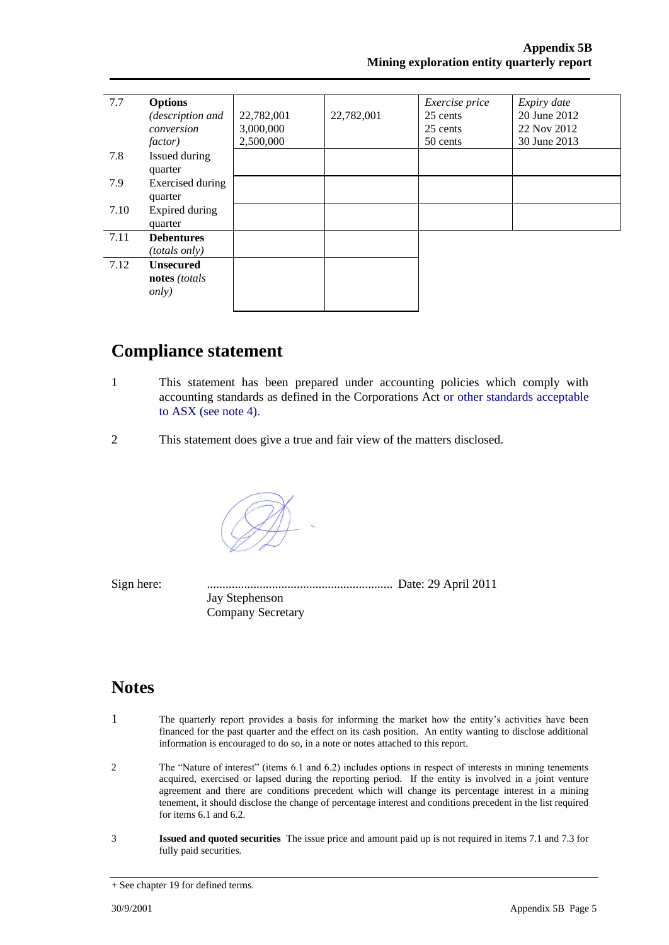| 7.7  | <b>Options</b>       |            |            | Exercise price | Expiry date  |
|------|----------------------|------------|------------|----------------|--------------|
|      | (description and     | 22,782,001 | 22,782,001 | 25 cents       | 20 June 2012 |
|      | conversion           | 3,000,000  |            | 25 cents       | 22 Nov 2012  |
|      | <i>factor</i> )      | 2,500,000  |            | 50 cents       | 30 June 2013 |
| 7.8  | Issued during        |            |            |                |              |
|      | quarter              |            |            |                |              |
| 7.9  | Exercised during     |            |            |                |              |
|      | quarter              |            |            |                |              |
| 7.10 | Expired during       |            |            |                |              |
|      | quarter              |            |            |                |              |
| 7.11 | <b>Debentures</b>    |            |            |                |              |
|      | <i>(totals only)</i> |            |            |                |              |
| 7.12 | <b>Unsecured</b>     |            |            |                |              |
|      | notes (totals        |            |            |                |              |
|      | <i>only</i> )        |            |            |                |              |
|      |                      |            |            |                |              |

## **Compliance statement**

- 1 This statement has been prepared under accounting policies which comply with accounting standards as defined in the Corporations Act or other standards acceptable to ASX (see note 4).
- 2 This statement does give a true and fair view of the matters disclosed.

Sign here: ............................................................ Date: 29 April 2011 Jay Stephenson Company Secretary

## **Notes**

- 1 The quarterly report provides a basis for informing the market how the entity's activities have been financed for the past quarter and the effect on its cash position. An entity wanting to disclose additional information is encouraged to do so, in a note or notes attached to this report.
- 2 The "Nature of interest" (items 6.1 and 6.2) includes options in respect of interests in mining tenements acquired, exercised or lapsed during the reporting period. If the entity is involved in a joint venture agreement and there are conditions precedent which will change its percentage interest in a mining tenement, it should disclose the change of percentage interest and conditions precedent in the list required for items 6.1 and 6.2.
- 3 **Issued and quoted securities** The issue price and amount paid up is not required in items 7.1 and 7.3 for fully paid securities*.*

<sup>+</sup> See chapter 19 for defined terms.